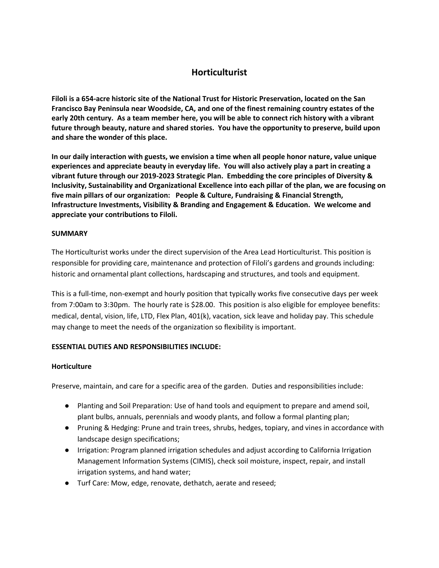# **Horticulturist**

**Filoli is a 654-acre historic site of the National Trust for Historic Preservation, located on the San Francisco Bay Peninsula near Woodside, CA, and one of the finest remaining country estates of the early 20th century. As a team member here, you will be able to connect rich history with a vibrant future through beauty, nature and shared stories. You have the opportunity to preserve, build upon and share the wonder of this place.**

**In our daily interaction with guests, we envision a time when all people honor nature, value unique experiences and appreciate beauty in everyday life. You will also actively play a part in creating a vibrant future through our 2019-2023 Strategic Plan. Embedding the core principles of Diversity & Inclusivity, Sustainability and Organizational Excellence into each pillar of the plan, we are focusing on five main pillars of our organization: People & Culture, Fundraising & Financial Strength, Infrastructure Investments, Visibility & Branding and Engagement & Education. We welcome and appreciate your contributions to Filoli.**

#### **SUMMARY**

The Horticulturist works under the direct supervision of the Area Lead Horticulturist. This position is responsible for providing care, maintenance and protection of Filoli's gardens and grounds including: historic and ornamental plant collections, hardscaping and structures, and tools and equipment.

This is a full-time, non-exempt and hourly position that typically works five consecutive days per week from 7:00am to 3:30pm. The hourly rate is \$28.00. This position is also eligible for employee benefits: medical, dental, vision, life, LTD, Flex Plan, 401(k), vacation, sick leave and holiday pay. This schedule may change to meet the needs of the organization so flexibility is important.

# **ESSENTIAL DUTIES AND RESPONSIBILITIES INCLUDE:**

#### **Horticulture**

Preserve, maintain, and care for a specific area of the garden. Duties and responsibilities include:

- Planting and Soil Preparation: Use of hand tools and equipment to prepare and amend soil, plant bulbs, annuals, perennials and woody plants, and follow a formal planting plan;
- Pruning & Hedging: Prune and train trees, shrubs, hedges, topiary, and vines in accordance with landscape design specifications;
- Irrigation: Program planned irrigation schedules and adjust according to California Irrigation Management Information Systems (CIMIS), check soil moisture, inspect, repair, and install irrigation systems, and hand water;
- Turf Care: Mow, edge, renovate, dethatch, aerate and reseed;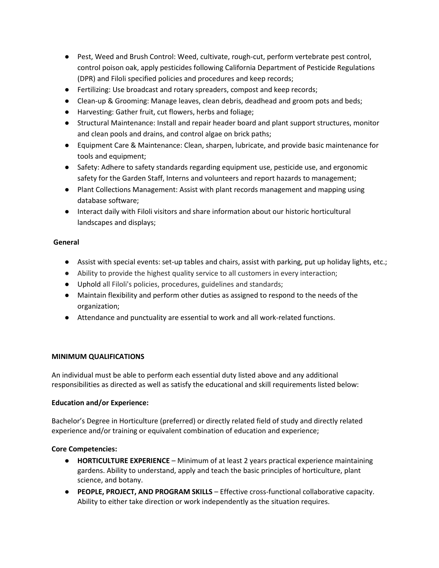- Pest, Weed and Brush Control: Weed, cultivate, rough-cut, perform vertebrate pest control, control poison oak, apply pesticides following California Department of Pesticide Regulations (DPR) and Filoli specified policies and procedures and keep records;
- Fertilizing: Use broadcast and rotary spreaders, compost and keep records;
- Clean-up & Grooming: Manage leaves, clean debris, deadhead and groom pots and beds;
- Harvesting: Gather fruit, cut flowers, herbs and foliage;
- Structural Maintenance: Install and repair header board and plant support structures, monitor and clean pools and drains, and control algae on brick paths;
- Equipment Care & Maintenance: Clean, sharpen, lubricate, and provide basic maintenance for tools and equipment;
- Safety: Adhere to safety standards regarding equipment use, pesticide use, and ergonomic safety for the Garden Staff, Interns and volunteers and report hazards to management;
- Plant Collections Management: Assist with plant records management and mapping using database software;
- Interact daily with Filoli visitors and share information about our historic horticultural landscapes and displays;

## **General**

- Assist with special events: set-up tables and chairs, assist with parking, put up holiday lights, etc.;
- Ability to provide the highest quality service to all customers in every interaction;
- Uphold all Filoli's policies, procedures, guidelines and standards;
- Maintain flexibility and perform other duties as assigned to respond to the needs of the organization;
- Attendance and punctuality are essential to work and all work-related functions.

#### **MINIMUM QUALIFICATIONS**

An individual must be able to perform each essential duty listed above and any additional responsibilities as directed as well as satisfy the educational and skill requirements listed below:

#### **Education and/or Experience:**

Bachelor's Degree in Horticulture (preferred) or directly related field of study and directly related experience and/or training or equivalent combination of education and experience;

#### **Core Competencies:**

- **HORTICULTURE EXPERIENCE**  Minimum of at least 2 years practical experience maintaining gardens. Ability to understand, apply and teach the basic principles of horticulture, plant science, and botany.
- **PEOPLE, PROJECT, AND PROGRAM SKILLS**  Effective cross-functional collaborative capacity. Ability to either take direction or work independently as the situation requires.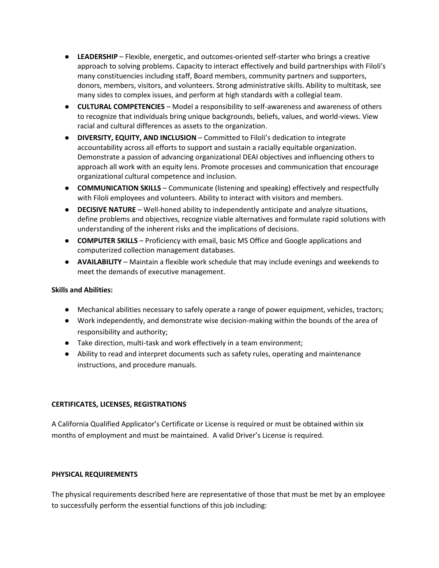- **LEADERSHIP**  Flexible, energetic, and outcomes-oriented self-starter who brings a creative approach to solving problems. Capacity to interact effectively and build partnerships with Filoli's many constituencies including staff, Board members, community partners and supporters, donors, members, visitors, and volunteers. Strong administrative skills. Ability to multitask, see many sides to complex issues, and perform at high standards with a collegial team.
- **CULTURAL COMPETENCIES** Model a responsibility to self-awareness and awareness of others to recognize that individuals bring unique backgrounds, beliefs, values, and world-views. View racial and cultural differences as assets to the organization.
- **DIVERSITY, EQUITY, AND INCLUSION** Committed to Filoli's dedication to integrate accountability across all efforts to support and sustain a racially equitable organization. Demonstrate a passion of advancing organizational DEAI objectives and influencing others to approach all work with an equity lens. Promote processes and communication that encourage organizational cultural competence and inclusion.
- **COMMUNICATION SKILLS** Communicate (listening and speaking) effectively and respectfully with Filoli employees and volunteers. Ability to interact with visitors and members.
- **DECISIVE NATURE** Well-honed ability to independently anticipate and analyze situations, define problems and objectives, recognize viable alternatives and formulate rapid solutions with understanding of the inherent risks and the implications of decisions.
- **COMPUTER SKILLS**  Proficiency with email, basic MS Office and Google applications and computerized collection management databases.
- **AVAILABILITY** Maintain a flexible work schedule that may include evenings and weekends to meet the demands of executive management.

#### **Skills and Abilities:**

- Mechanical abilities necessary to safely operate a range of power equipment, vehicles, tractors;
- Work independently, and demonstrate wise decision-making within the bounds of the area of responsibility and authority;
- Take direction, multi-task and work effectively in a team environment;
- Ability to read and interpret documents such as safety rules, operating and maintenance instructions, and procedure manuals.

#### **CERTIFICATES, LICENSES, REGISTRATIONS**

A California Qualified Applicator's Certificate or License is required or must be obtained within six months of employment and must be maintained. A valid Driver's License is required.

#### **PHYSICAL REQUIREMENTS**

The physical requirements described here are representative of those that must be met by an employee to successfully perform the essential functions of this job including: